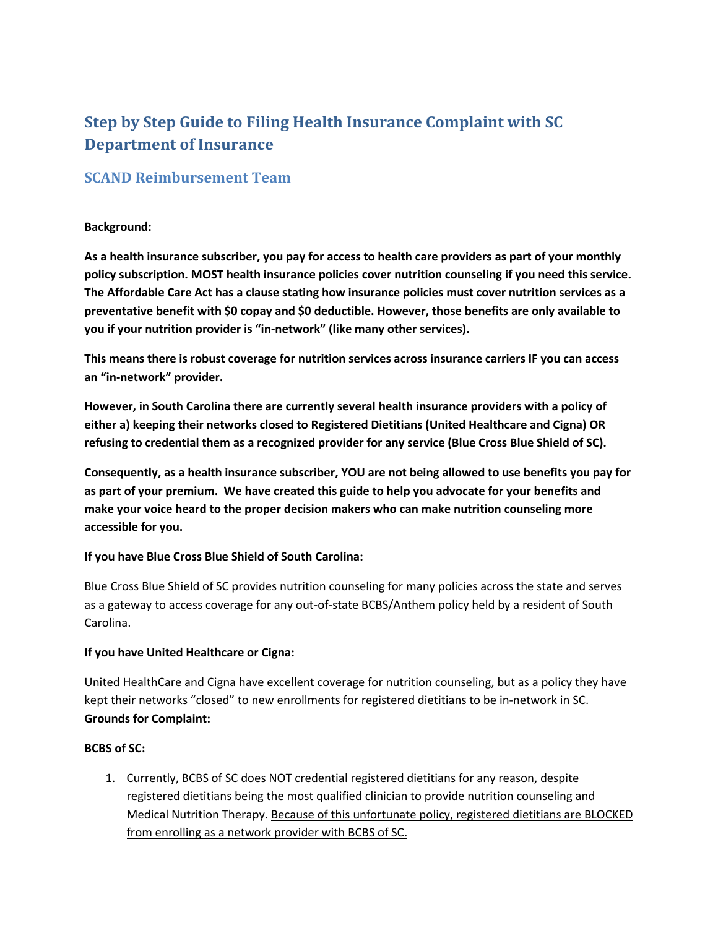# **Step by Step Guide to Filing Health Insurance Complaint with SC Department of Insurance**

# **SCAND Reimbursement Team**

#### **Background:**

**As a health insurance subscriber, you pay for access to health care providers as part of your monthly policy subscription. MOST health insurance policies cover nutrition counseling if you need this service. The Affordable Care Act has a clause stating how insurance policies must cover nutrition services as a preventative benefit with \$0 copay and \$0 deductible. However, those benefits are only available to you if your nutrition provider is "in-network" (like many other services).** 

**This means there is robust coverage for nutrition services across insurance carriers IF you can access an "in-network" provider.**

**However, in South Carolina there are currently several health insurance providers with a policy of either a) keeping their networks closed to Registered Dietitians (United Healthcare and Cigna) OR refusing to credential them as a recognized provider for any service (Blue Cross Blue Shield of SC).**

**Consequently, as a health insurance subscriber, YOU are not being allowed to use benefits you pay for as part of your premium. We have created this guide to help you advocate for your benefits and make your voice heard to the proper decision makers who can make nutrition counseling more accessible for you.**

### **If you have Blue Cross Blue Shield of South Carolina:**

Blue Cross Blue Shield of SC provides nutrition counseling for many policies across the state and serves as a gateway to access coverage for any out-of-state BCBS/Anthem policy held by a resident of South Carolina.

#### **If you have United Healthcare or Cigna:**

United HealthCare and Cigna have excellent coverage for nutrition counseling, but as a policy they have kept their networks "closed" to new enrollments for registered dietitians to be in-network in SC. **Grounds for Complaint:**

#### **BCBS of SC:**

1. Currently, BCBS of SC does NOT credential registered dietitians for any reason, despite registered dietitians being the most qualified clinician to provide nutrition counseling and Medical Nutrition Therapy. Because of this unfortunate policy, registered dietitians are BLOCKED from enrolling as a network provider with BCBS of SC.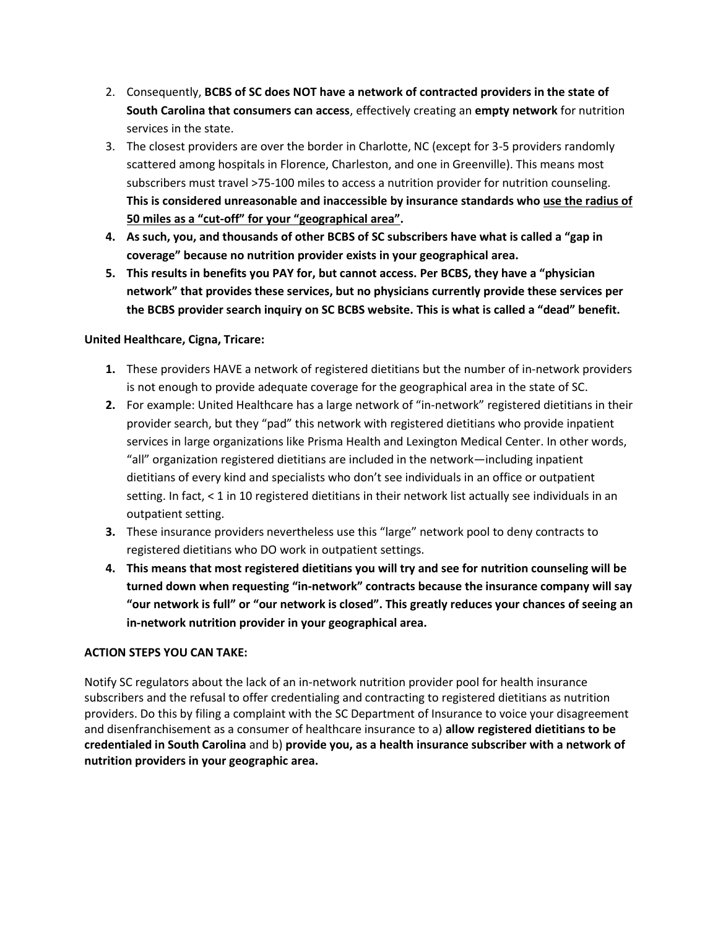- 2. Consequently, **BCBS of SC does NOT have a network of contracted providers in the state of South Carolina that consumers can access**, effectively creating an **empty network** for nutrition services in the state.
- 3. The closest providers are over the border in Charlotte, NC (except for 3-5 providers randomly scattered among hospitals in Florence, Charleston, and one in Greenville). This means most subscribers must travel >75-100 miles to access a nutrition provider for nutrition counseling. **This is considered unreasonable and inaccessible by insurance standards who use the radius of 50 miles as a "cut-off" for your "geographical area".**
- **4. As such, you, and thousands of other BCBS of SC subscribers have what is called a "gap in coverage" because no nutrition provider exists in your geographical area.**
- **5. This results in benefits you PAY for, but cannot access. Per BCBS, they have a "physician network" that provides these services, but no physicians currently provide these services per the BCBS provider search inquiry on SC BCBS website. This is what is called a "dead" benefit.**

#### **United Healthcare, Cigna, Tricare:**

- **1.** These providers HAVE a network of registered dietitians but the number of in-network providers is not enough to provide adequate coverage for the geographical area in the state of SC.
- **2.** For example: United Healthcare has a large network of "in-network" registered dietitians in their provider search, but they "pad" this network with registered dietitians who provide inpatient services in large organizations like Prisma Health and Lexington Medical Center. In other words, "all" organization registered dietitians are included in the network—including inpatient dietitians of every kind and specialists who don't see individuals in an office or outpatient setting. In fact, < 1 in 10 registered dietitians in their network list actually see individuals in an outpatient setting.
- **3.** These insurance providers nevertheless use this "large" network pool to deny contracts to registered dietitians who DO work in outpatient settings.
- **4. This means that most registered dietitians you will try and see for nutrition counseling will be turned down when requesting "in-network" contracts because the insurance company will say "our network is full" or "our network is closed". This greatly reduces your chances of seeing an in-network nutrition provider in your geographical area.**

#### **ACTION STEPS YOU CAN TAKE:**

Notify SC regulators about the lack of an in-network nutrition provider pool for health insurance subscribers and the refusal to offer credentialing and contracting to registered dietitians as nutrition providers. Do this by filing a complaint with the SC Department of Insurance to voice your disagreement and disenfranchisement as a consumer of healthcare insurance to a) **allow registered dietitians to be credentialed in South Carolina** and b) **provide you, as a health insurance subscriber with a network of nutrition providers in your geographic area.**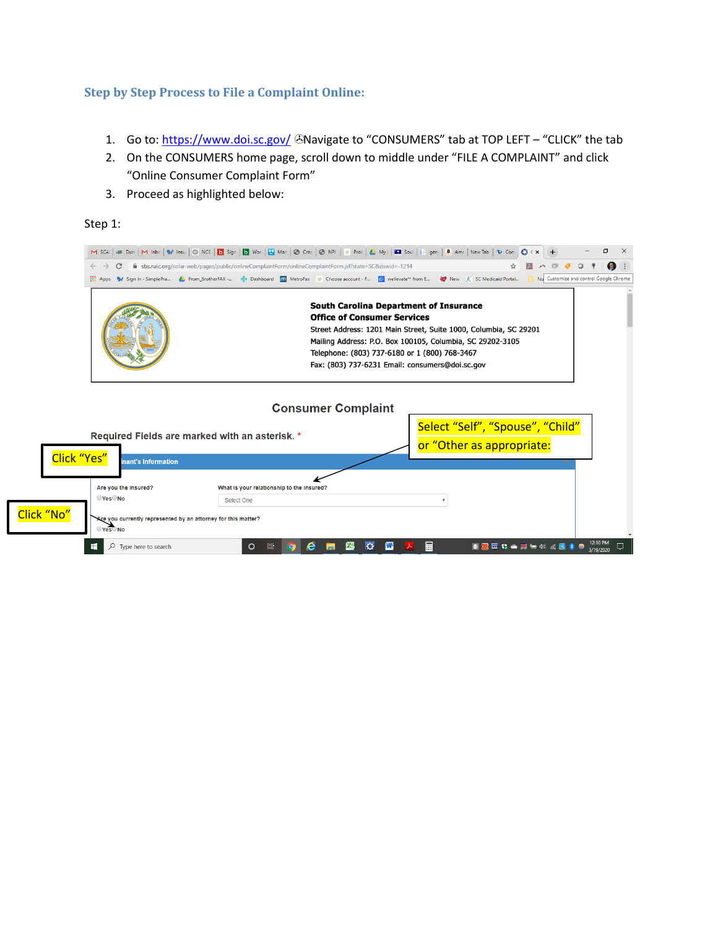#### **Step by Step Process to File a Complaint Online:**

- 1. Go to:<https://www.doi.sc.gov/> CNavigate to "CONSUMERS" tab at TOP LEFT "CLICK" the tab
- 2. On the CONSUMERS home page, scroll down to middle under "FILE A COMPLAINT" and click "Online Consumer Complaint Form"
- 3. Proceed as highlighted below:

#### Step 1:

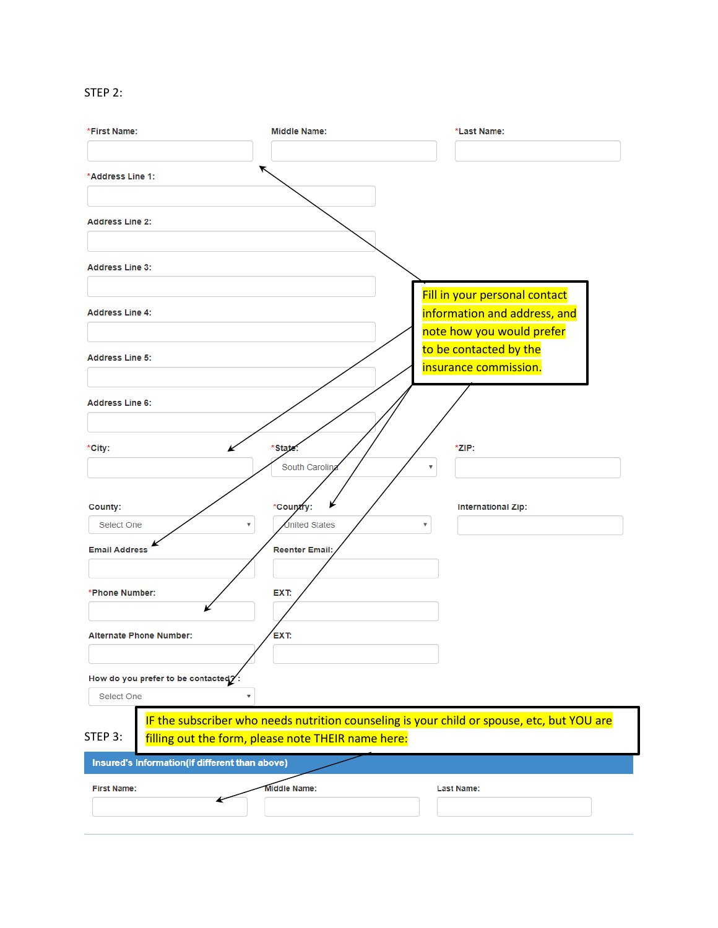# STEP 2:

| *First Name:                                   | <b>Middle Name:</b>                                | *Last Name:                                                                                |
|------------------------------------------------|----------------------------------------------------|--------------------------------------------------------------------------------------------|
|                                                |                                                    |                                                                                            |
| *Address Line 1:                               | ↖                                                  |                                                                                            |
|                                                |                                                    |                                                                                            |
| <b>Address Line 2:</b>                         |                                                    |                                                                                            |
|                                                |                                                    |                                                                                            |
| <b>Address Line 3:</b>                         |                                                    |                                                                                            |
|                                                |                                                    | Fill in your personal contact                                                              |
| <b>Address Line 4:</b>                         |                                                    | information and address, and                                                               |
|                                                |                                                    | note how you would prefer                                                                  |
| <b>Address Line 5:</b>                         |                                                    | to be contacted by the                                                                     |
|                                                |                                                    | insurance commission.                                                                      |
| <b>Address Line 6:</b>                         |                                                    |                                                                                            |
|                                                |                                                    |                                                                                            |
| *City:                                         | *State.                                            | *ZIP:                                                                                      |
|                                                | South Carolina                                     |                                                                                            |
|                                                |                                                    |                                                                                            |
| County:                                        | ¥<br>*Country:                                     | <b>International Zip:</b>                                                                  |
| Select One<br>$\overline{\mathbf{v}}$          | <b>Jnited States</b>                               |                                                                                            |
| <b>Email Address</b>                           | <b>Reenter Email:</b>                              |                                                                                            |
|                                                |                                                    |                                                                                            |
| *Phone Number:                                 | EXT:                                               |                                                                                            |
|                                                |                                                    |                                                                                            |
| <b>Alternate Phone Number:</b>                 | EXT:                                               |                                                                                            |
|                                                |                                                    |                                                                                            |
| How do you prefer to be contacted?             |                                                    |                                                                                            |
| Select One<br>$\overline{\mathbf{v}}$          |                                                    |                                                                                            |
| STEP 3:                                        |                                                    | IF the subscriber who needs nutrition counseling is your child or spouse, etc, but YOU are |
|                                                | filling out the form, please note THEIR name here: |                                                                                            |
| Insured's Information(If different than above) |                                                    |                                                                                            |
| <b>First Name:</b>                             | Middle Name:                                       | <b>Last Name:</b>                                                                          |
|                                                |                                                    |                                                                                            |
|                                                |                                                    |                                                                                            |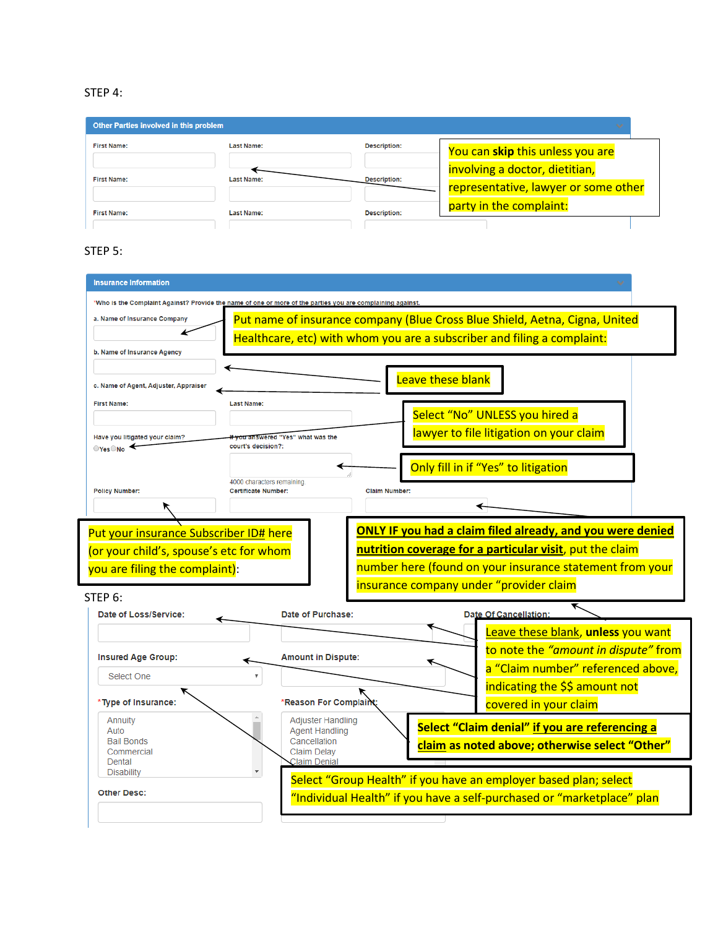# STEP 4:

| Other Parties involved in this problem |                   |                     |                                      |  |
|----------------------------------------|-------------------|---------------------|--------------------------------------|--|
| <b>First Name:</b>                     | <b>Last Name:</b> | <b>Description:</b> | You can skip this unless you are     |  |
|                                        |                   |                     | involving a doctor, dietitian,       |  |
| <b>First Name:</b>                     | <b>Last Name:</b> | <b>Description:</b> | representative, lawyer or some other |  |
| <b>First Name:</b>                     | <b>Last Name:</b> | <b>Description:</b> | party in the complaint:              |  |
|                                        |                   |                     |                                      |  |

# STEP 5:

|                                                                                   | *Who is the Complaint Against? Provide the name of one or more of the parties you are complaining agains                                                                                    |  |
|-----------------------------------------------------------------------------------|---------------------------------------------------------------------------------------------------------------------------------------------------------------------------------------------|--|
| a. Name of Insurance Company                                                      | Put name of insurance company (Blue Cross Blue Shield, Aetna, Cigna, United                                                                                                                 |  |
|                                                                                   | Healthcare, etc) with whom you are a subscriber and filing a complaint:                                                                                                                     |  |
| b. Name of Insurance Agency                                                       |                                                                                                                                                                                             |  |
| c. Name of Agent, Adjuster, Appraiser                                             | Leave these blank                                                                                                                                                                           |  |
| <b>First Name:</b>                                                                | <b>Last Name:</b>                                                                                                                                                                           |  |
|                                                                                   | Select "No" UNLESS you hired a                                                                                                                                                              |  |
| Have you litigated your claim?                                                    | lawyer to file litigation on your claim<br>vou answered "Yes" what was the                                                                                                                  |  |
| OYesONo                                                                           | court's decision?:                                                                                                                                                                          |  |
|                                                                                   | Only fill in if "Yes" to litigation                                                                                                                                                         |  |
| <b>Policy Number:</b>                                                             | 4000 characters remaining<br><b>Certificate Number:</b><br><b>Claim Number:</b>                                                                                                             |  |
|                                                                                   |                                                                                                                                                                                             |  |
| Put your insurance Subscriber ID# here<br>(or your child's, spouse's etc for whom | <b>ONLY IF you had a claim filed already, and you were denied</b><br>nutrition coverage for a particular visit, put the claim                                                               |  |
| you are filing the complaint):<br>STFP 6:<br>Date of Loss/Service:                | number here (found on your insurance statement from your<br>insurance company under "provider claim<br>Date of Purchase:<br><b>Date Of Cancellation:</b>                                    |  |
|                                                                                   |                                                                                                                                                                                             |  |
| <b>Insured Age Group:</b>                                                         | Leave these blank, unless you want<br>to note the "amount in dispute" from<br><b>Amount in Dispute:</b>                                                                                     |  |
| Select One                                                                        | a "Claim number" referenced above,                                                                                                                                                          |  |
|                                                                                   | indicating the \$\$ amount not                                                                                                                                                              |  |
| *Type of Insurance:                                                               | *Reason For Complaint<br>covered in your claim                                                                                                                                              |  |
| Annuity<br>Auto<br><b>Bail Bonds</b><br>Commercial                                | <b>Adjuster Handling</b><br>Select "Claim denial" if you are referencing a<br><b>Agent Handling</b><br>Cancellation<br>claim as noted above; otherwise select "Other"<br><b>Claim Delay</b> |  |
| Dental<br><b>Disability</b>                                                       | <b>Claim Denial</b><br>Select "Group Health" if you have an employer based plan; select                                                                                                     |  |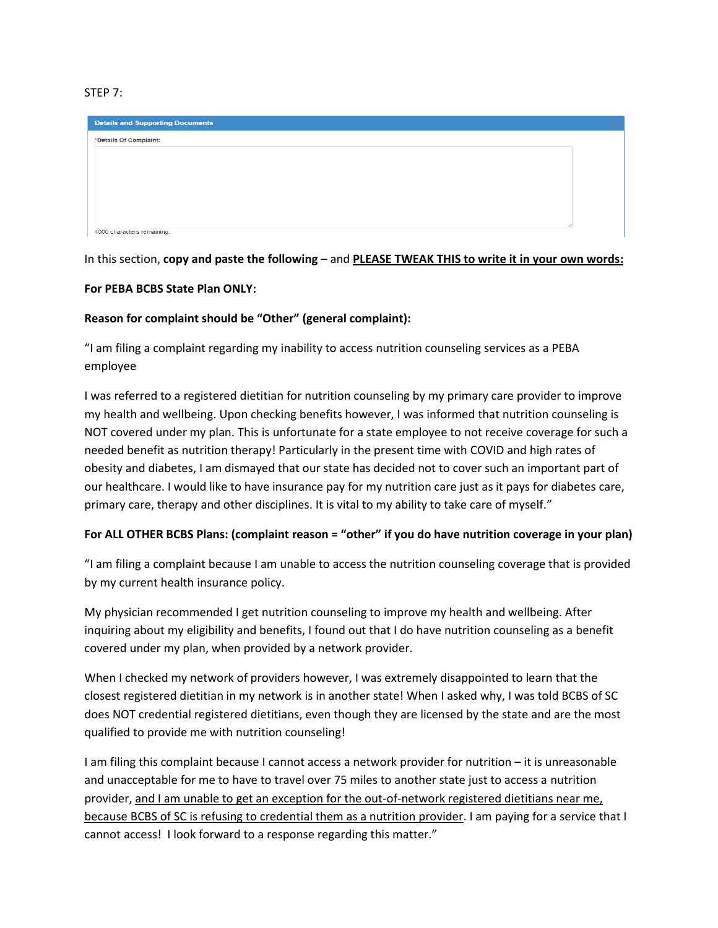#### STEP 7:

| <b>Details and Supporting Documents</b> | $\sim$ |
|-----------------------------------------|--------|
| *Details Of Complaint:                  |        |
|                                         |        |
|                                         |        |
|                                         |        |
|                                         |        |
|                                         |        |
| 4000 characters remaining.              |        |

In this section, **copy and paste the following** – and **PLEASE TWEAK THIS to write it in your own words:**

#### **For PEBA BCBS State Plan ONLY:**

#### **Reason for complaint should be "Other" (general complaint):**

"I am filing a complaint regarding my inability to access nutrition counseling services as a PEBA employee

I was referred to a registered dietitian for nutrition counseling by my primary care provider to improve my health and wellbeing. Upon checking benefits however, I was informed that nutrition counseling is NOT covered under my plan. This is unfortunate for a state employee to not receive coverage for such a needed benefit as nutrition therapy! Particularly in the present time with COVID and high rates of obesity and diabetes, I am dismayed that our state has decided not to cover such an important part of our healthcare. I would like to have insurance pay for my nutrition care just as it pays for diabetes care, primary care, therapy and other disciplines. It is vital to my ability to take care of myself."

#### **For ALL OTHER BCBS Plans: (complaint reason = "other" if you do have nutrition coverage in your plan)**

"I am filing a complaint because I am unable to access the nutrition counseling coverage that is provided by my current health insurance policy.

My physician recommended I get nutrition counseling to improve my health and wellbeing. After inquiring about my eligibility and benefits, I found out that I do have nutrition counseling as a benefit covered under my plan, when provided by a network provider.

When I checked my network of providers however, I was extremely disappointed to learn that the closest registered dietitian in my network is in another state! When I asked why, I was told BCBS of SC does NOT credential registered dietitians, even though they are licensed by the state and are the most qualified to provide me with nutrition counseling!

I am filing this complaint because I cannot access a network provider for nutrition – it is unreasonable and unacceptable for me to have to travel over 75 miles to another state just to access a nutrition provider, and I am unable to get an exception for the out-of-network registered dietitians near me, because BCBS of SC is refusing to credential them as a nutrition provider. I am paying for a service that I cannot access! I look forward to a response regarding this matter."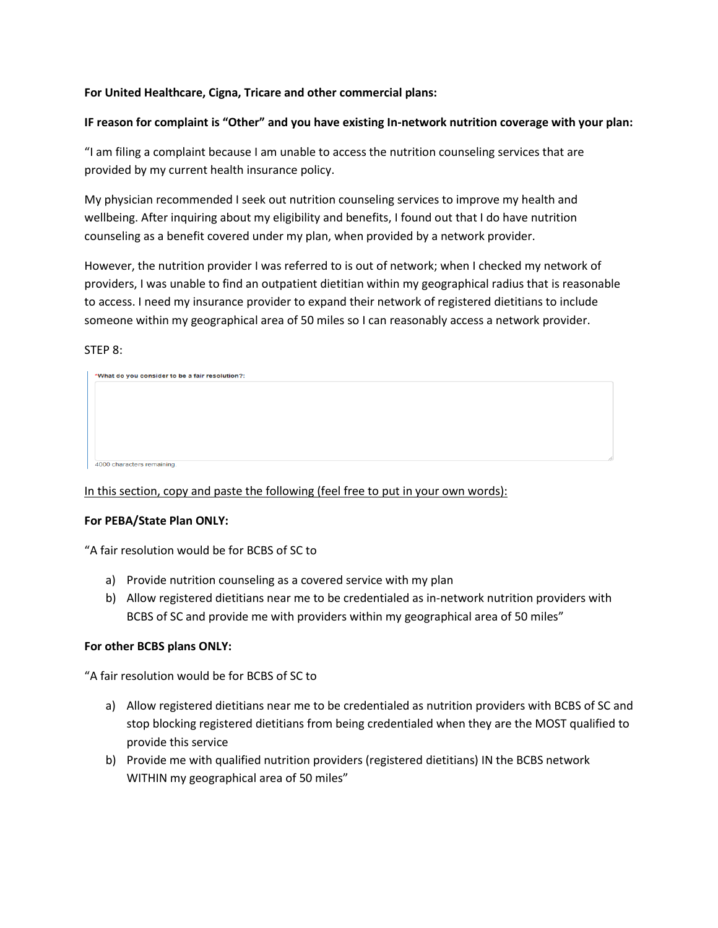#### **For United Healthcare, Cigna, Tricare and other commercial plans:**

#### **IF reason for complaint is "Other" and you have existing In-network nutrition coverage with your plan:**

"I am filing a complaint because I am unable to access the nutrition counseling services that are provided by my current health insurance policy.

My physician recommended I seek out nutrition counseling services to improve my health and wellbeing. After inquiring about my eligibility and benefits, I found out that I do have nutrition counseling as a benefit covered under my plan, when provided by a network provider.

However, the nutrition provider I was referred to is out of network; when I checked my network of providers, I was unable to find an outpatient dietitian within my geographical radius that is reasonable to access. I need my insurance provider to expand their network of registered dietitians to include someone within my geographical area of 50 miles so I can reasonably access a network provider.

#### STEP 8:

In this section, copy and paste the following (feel free to put in your own words):

#### **For PEBA/State Plan ONLY:**

"A fair resolution would be for BCBS of SC to

- a) Provide nutrition counseling as a covered service with my plan
- b) Allow registered dietitians near me to be credentialed as in-network nutrition providers with BCBS of SC and provide me with providers within my geographical area of 50 miles"

#### **For other BCBS plans ONLY:**

"A fair resolution would be for BCBS of SC to

- a) Allow registered dietitians near me to be credentialed as nutrition providers with BCBS of SC and stop blocking registered dietitians from being credentialed when they are the MOST qualified to provide this service
- b) Provide me with qualified nutrition providers (registered dietitians) IN the BCBS network WITHIN my geographical area of 50 miles"